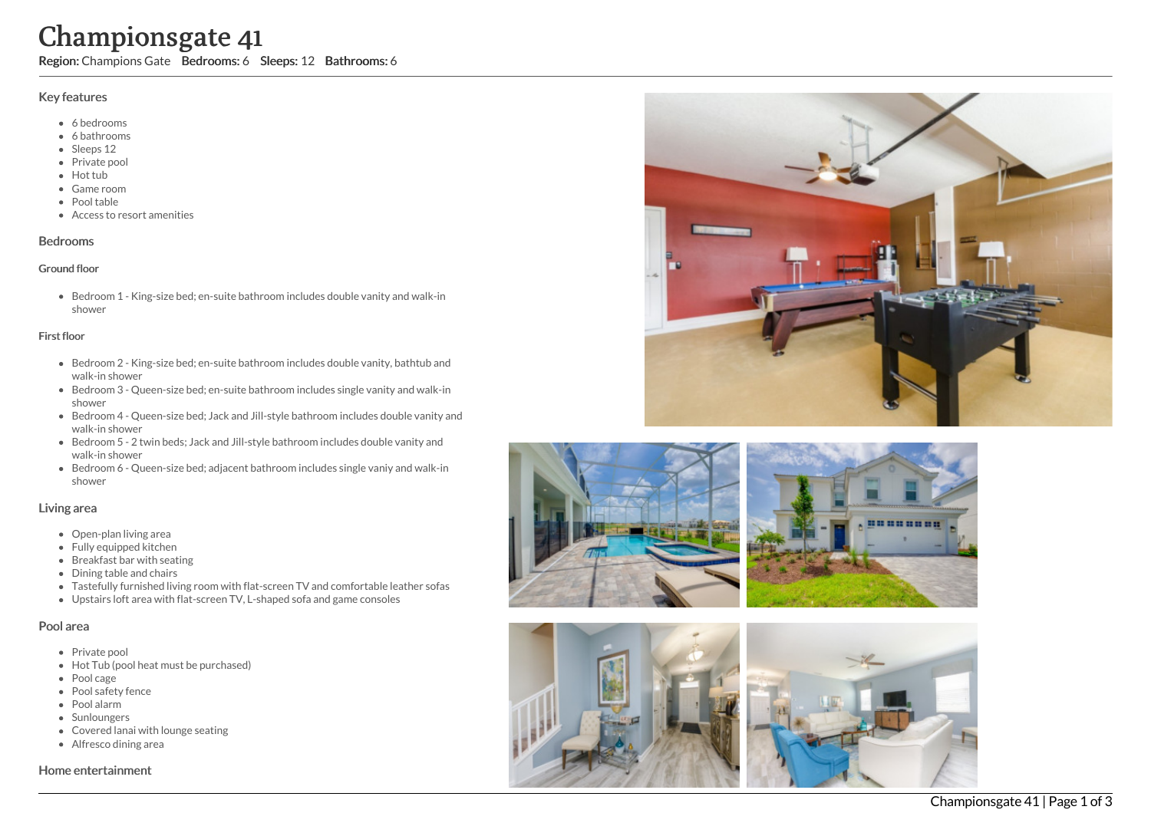# Championsgate 41

Region: Champions Gate Bedrooms: 6 Sleeps: 12 Bathrooms: 6

# Key features

- 6 b e d r o o m s
- 6 bathrooms
- Sleeps 12
- Private pool
- Hot tub
- Game room
- Pool table
- Access to resort amenities

### **Bedrooms**

#### Ground floor

Bedroom 1 - King-size bed; en-suite bathroom includes double vanity and walk-in s h o w e r

#### First floor

- Bedroom 2 King-size bed; en-suite bathroom includes double vanity, bathtub and walk-in shower
- Bedroom 3 Queen-size bed; en-suite bathroom includes single vanity and walk-in s h o w e r
- Bedroom 4 Queen-size bed; Jack and Jill-style bathroom includes double vanity and walk-in shower
- Bedroom 5 2 twin beds; Jack and Jill-style bathroom includes double vanity and walk-in shower
- Bedroom 6 Queen-size bed; adjacent bathroom includes single vaniy and walk-in s h o w e r

## Living area

- Open-plan living area
- Fully equipped kitchen
- Breakfast bar with seating
- Dining table and chairs
- Tastefully furnished living room with flat-screen TV and comfortable leather sofas
- Upstairs loft area with flat-screen TV, L-shaped sofa and game consoles

# Pool area

- Private pool
- Hot Tub (pool heat must be purchased)
- Pool cage
- Pool safety fence
- P o ol ala r m
- **Sunloungers**
- Covered lanai with lounge seating
- Alfresco dining area

#### Home entertainment





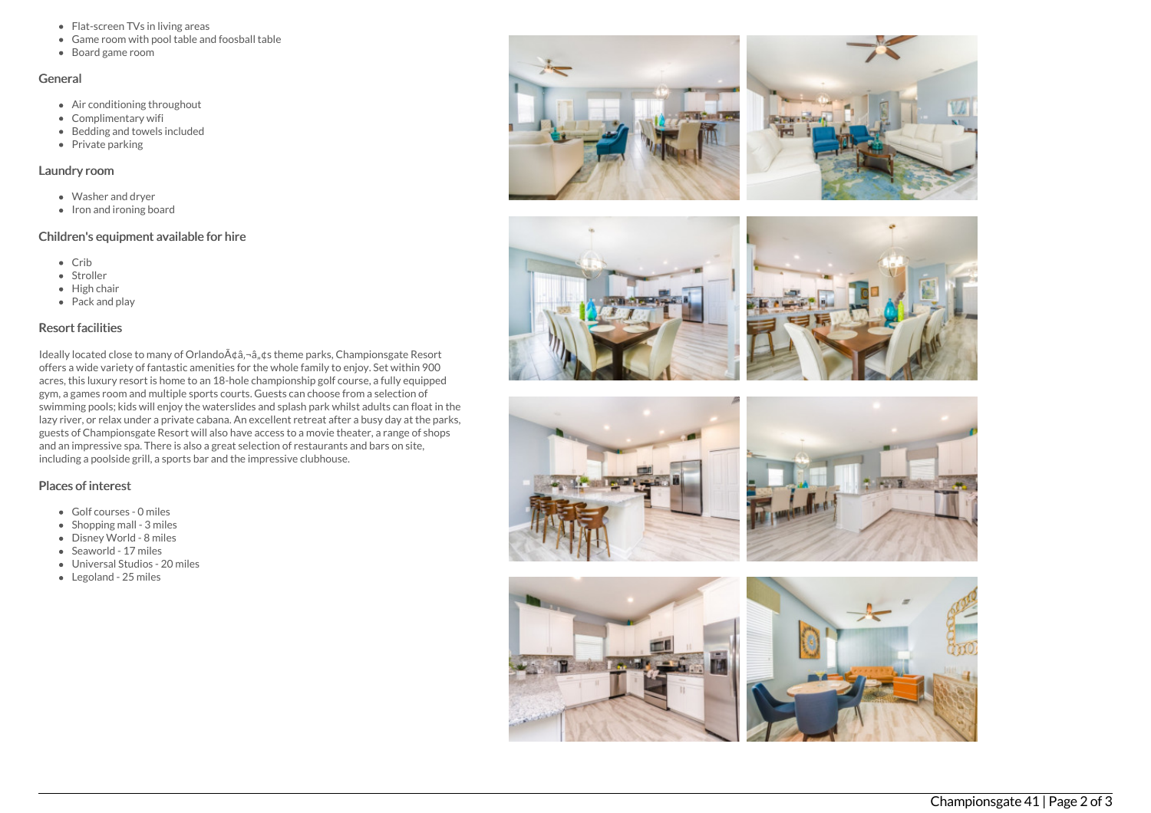- Flat-screen TVs in living areas
- Game room with pool table and foosball table
- Board game room

# General

- Air conditioning throughout
- Complimentary wifi
- Bedding and towels included
- Private parking

# Laundry room

- Washer and dryer
- Iron and ironing board

# Children's equipment available for hire

- $\bullet$  Crib
- Stroller
- $\bullet$  High chair
- Pack and play

# Resort facilities

Ideally located close to many of Orlando à ¢â,¬â" ¢s theme parks, Championsgate Resort offers a wide variety of fantastic amenities for the whole family to enjoy. Set within 900 acres, this luxury resort is home to an 18-hole championship golf course, a fully equipped gym, a games room and multiple sports courts. Guests can choose from a selection of swimming pools; kids will enjoy the waterslides and splash park whilst adults can float in the lazy river, or relax under a private cabana. An excellent retreat after a busy day at the parks, guests of Championsgate Resort will also have access to a movie theater, a range of shops and an impressive spa. There is also a great selection of restaurants and bars on site, including a poolside grill, a sports bar and the impressive clubhouse.

# Places of interest

- Golf courses 0 miles
- Shopping mall 3 miles
- Disney World 8 miles
- Seaworld 17 miles
- Universal Studios 20 miles
- Legoland 25 miles